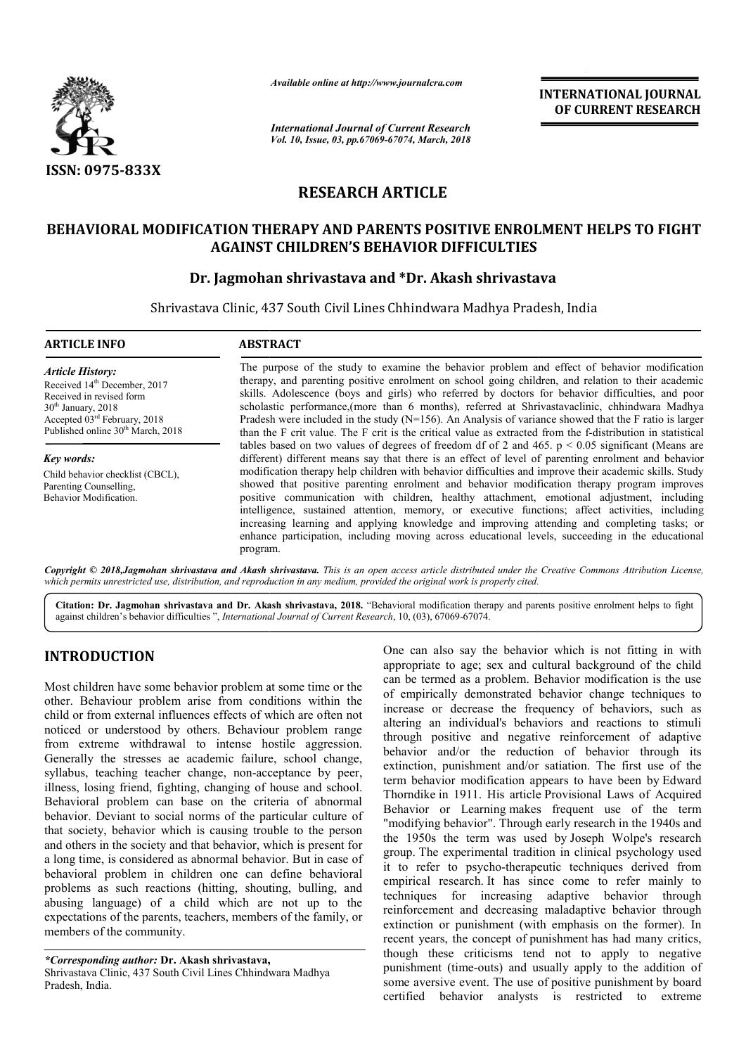

*Available online at http://www.journalcra.com*

*International Journal of Current Research Vol. 10, Issue, 03, pp.67069-67074, March, 2018* **INTERNATIONAL JOURNAL OF CURRENT RESEARCH**

# **RESEARCH ARTICLE**

# BEHAVIORAL MODIFICATION THERAPY AND PARENTS POSITIVE ENROLMENT HELPS TO FIGHT<br>AGAINST CHILDREN'S BEHAVIOR DIFFICULTIES<br>Dr. Jagmohan shrivastava and \*Dr. Akash shrivastava **AGAINST CHILDREN'S BEHAVIOR DIFFICULTIES**

# **Dr. Jagmohan shrivastava and \*Dr. Akash shrivastava**

Shrivastava Clinic, 437 South Civil Lines Chhindwara Madhya Pradesh, India

| <b>ARTICLE INFO</b>                                                                                                                                                 | <b>ABSTRACT</b>                                                                                                                                                                                                                                                                                                                                                                                                                                                                                                                                                                                                      |  |  |  |  |  |
|---------------------------------------------------------------------------------------------------------------------------------------------------------------------|----------------------------------------------------------------------------------------------------------------------------------------------------------------------------------------------------------------------------------------------------------------------------------------------------------------------------------------------------------------------------------------------------------------------------------------------------------------------------------------------------------------------------------------------------------------------------------------------------------------------|--|--|--|--|--|
| <b>Article History:</b><br>Received 14 <sup>th</sup> December, 2017<br>Received in revised form<br>$30th$ January, 2018<br>Accepted 03 <sup>rd</sup> February, 2018 | The purpose of the study to examine the behavior problem and effect of behavior modification<br>therapy, and parenting positive enrolment on school going children, and relation to their academic<br>skills. Adolescence (boys and girls) who referred by doctors for behavior difficulties, and poor<br>scholastic performance, (more than 6 months), referred at Shrivastavaclinic, chhindwara Madhya<br>Pradesh were included in the study ( $N=156$ ). An Analysis of variance showed that the F ratio is larger                                                                                                |  |  |  |  |  |
| Published online 30 <sup>th</sup> March, 2018                                                                                                                       | than the F crit value. The F crit is the critical value as extracted from the f-distribution in statistical                                                                                                                                                                                                                                                                                                                                                                                                                                                                                                          |  |  |  |  |  |
| Key words:                                                                                                                                                          | tables based on two values of degrees of freedom df of 2 and 465. $p < 0.05$ significant (Means are<br>different) different means say that there is an effect of level of parenting enrolment and behavior                                                                                                                                                                                                                                                                                                                                                                                                           |  |  |  |  |  |
| Child behavior checklist (CBCL).<br>Parenting Counselling,<br>Behavior Modification.                                                                                | modification therapy help children with behavior difficulties and improve their academic skills. Study<br>showed that positive parenting enrolment and behavior modification therapy program improves<br>positive communication with children, healthy attachment, emotional adjustment, including<br>intelligence, sustained attention, memory, or executive functions; affect activities, including<br>increasing learning and applying knowledge and improving attending and completing tasks; or<br>enhance participation, including moving across educational levels, succeeding in the educational<br>program. |  |  |  |  |  |

Copyright © 2018,Jagmohan shrivastava and Akash shrivastava. This is an open access article distributed under the Creative Commons Attribution License, which permits unrestricted use, distribution, and reproduction in any medium, provided the original work is properly cited.

Citation: Dr. Jagmohan shrivastava and Dr. Akash shrivastava, 2018. "Behavioral modification therapy and parents positive enrolment helps to fight against children's behavior difficulties ", *International Journal of Current Research*, 10, (03), 67069-67074.

# **INTRODUCTION**

Most children have some behavior problem at some time or the other. Behaviour problem arise from conditions within the child or from external influences effects of which are often not noticed or understood by others. Behaviour problem range from extreme withdrawal to intense hostile aggression. Generally the stresses ae academic failure, school change, syllabus, teaching teacher change, non-acceptance by peer, illness, losing friend, fighting, changing of house and school. Behavioral problem can base on the criteria of abnormal behavior. Deviant to social norms of the particular culture of that society, behavior which is causing trouble to the person and others in the society and that behavior, which is present for a long time, is considered as abnormal behavior. But in case of behavioral problem in children one can define behavioral problems as such reactions (hitting, shouting, bulling, and abusing language) of a child which are not up to the expectations of the parents, teachers, members of the family, or members of the community. ilure, school change,<br>acceptance by peer,<br>of house and school.<br>criteria of abnormal<br>e particular culture of One can also say the behavior which is not fitting in with appropriate to age; sex and cultural background of the child can be termed as a problem. Behavior modification is the of empirically demonstrated behavior change techniques to increase or decrease the frequency of behaviors, such as altering an individual's behaviors and reactions to stimuli through positive and negative reinforcement of adaptive behavior and/or the reduction of behavior through its extinction, punishment and/or satiation. The first use of the term behavior modification appears to have been by Edward Thorndike in 1911. His article Provisional Laws of Acquired Behavior or Learning makes frequent use of the term Behavior or Learning makes frequent use of the term "modifying behavior". Through early research in the 1940s and the 1950s the term was used by Joseph Wolpe's research group. The experimental tradition in clinical psychology used it to refer to psycho-therapeutic techniques derived from empirical research. It has since come to refer mainly to techniques for increasing adaptive behavior through reinforcement and decreasing maladaptive behavior through extinction or punishment (with emphasis on the former). recent years, the concept of punishment has had many critics, though these criticisms tend not to apply to negative punishment (time-outs) and usually apply to the addition of though these criticisms tend not to apply to negative punishment (time-outs) and usually apply to the addition of some aversive event. The use of positive punishment by board certified behavior analysts is restricted to extreme ch is not fitting in with<br>background of the child<br>r modification is the use of empirically demonstrated behavior change techniques to increase or decrease the frequency of behaviors, such as altering an individual's behaviors and reactions to stimuli through positive and negative reinforcement of The experimental tradition in clinical psychology used refer to psycho-therapeutic techniques derived from cal research. It has since come to refer mainly to techniques for increasing adaptive behavior through<br>reinforcement and decreasing maladaptive behavior through<br>extinction or punishment (with emphasis on the former). In **INTERNATIONAL JOURNAL OF CURRENT RESEARCH CONTINUM OF CURRENT RESEARCH CONTICUTES<br>
SURFACT THE CONTICUTES TO FIGHT<br>
LTIES<br>
SURFACT LIFES<br>
SURFACT LIFES<br>
SURFACT LIFES<br>
SURFACT LIFES<br>
TOWER and effect of behavior modifica** 

*<sup>\*</sup>Corresponding author:* **Dr. Akash shrivastava,** Shrivastava Clinic, 437 South Civil Lines Chhindwara Madhya Pradesh, India.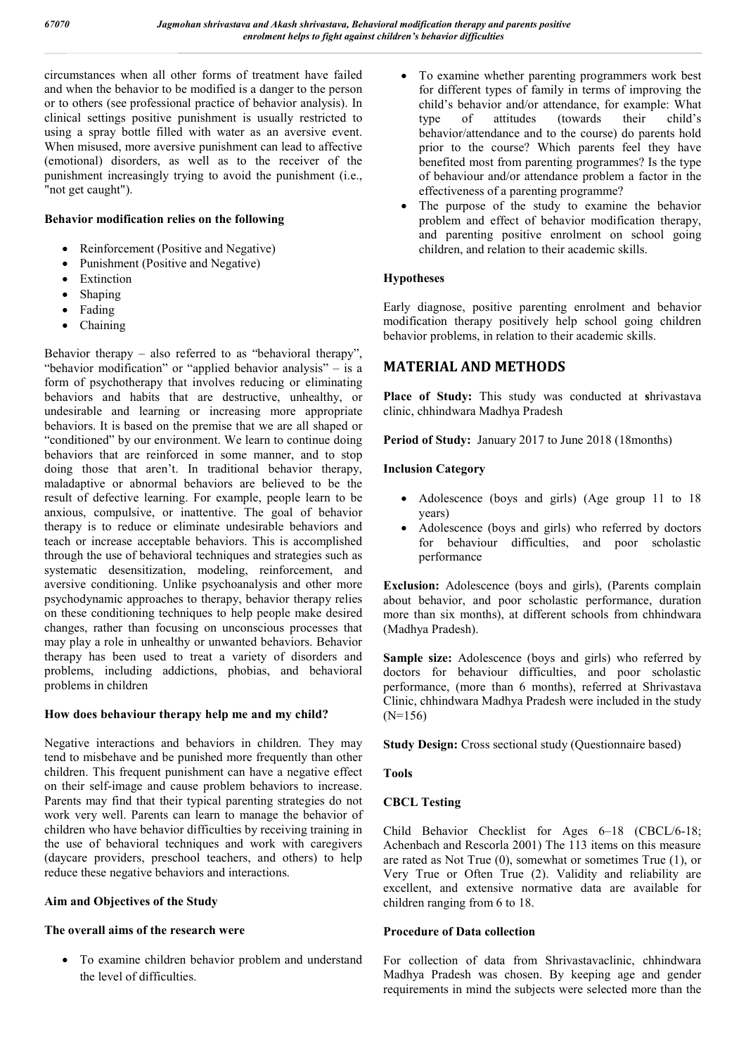circumstances when all other forms of treatment have failed and when the behavior to be modified is a danger to the person or to others (see professional practice of behavior analysis). In clinical settings positive punishment is usually restricted to using a spray bottle filled with water as an aversive event. When misused, more aversive punishment can lead to affective (emotional) disorders, as well as to the receiver of the punishment increasingly trying to avoid the punishment (i.e., "not get caught").

#### **Behavior modification relies on the following**

- Reinforcement (Positive and Negative)
- Punishment (Positive and Negative)
- Extinction
- Shaping
- Fading
- Chaining

Behavior therapy – also referred to as "behavioral therapy", "behavior modification" or "applied behavior analysis" – is a form of psychotherapy that involves reducing or eliminating behaviors and habits that are destructive, unhealthy, or undesirable and learning or increasing more appropriate behaviors. It is based on the premise that we are all shaped or "conditioned" by our environment. We learn to continue doing behaviors that are reinforced in some manner, and to stop doing those that aren't. In traditional behavior therapy, maladaptive or abnormal behaviors are believed to be the result of defective learning. For example, people learn to be anxious, compulsive, or inattentive. The goal of behavior therapy is to reduce or eliminate undesirable behaviors and teach or increase acceptable behaviors. This is accomplished through the use of behavioral techniques and strategies such as systematic desensitization, modeling, reinforcement, and aversive conditioning. Unlike psychoanalysis and other more psychodynamic approaches to therapy, behavior therapy relies on these conditioning techniques to help people make desired changes, rather than focusing on unconscious processes that may play a role in unhealthy or unwanted behaviors. Behavior therapy has been used to treat a variety of disorders and problems, including addictions, phobias, and behavioral problems in children

#### **How does behaviour therapy help me and my child?**

Negative interactions and behaviors in children. They may tend to misbehave and be punished more frequently than other children. This frequent punishment can have a negative effect on their self-image and cause problem behaviors to increase. Parents may find that their typical parenting strategies do not work very well. Parents can learn to manage the behavior of children who have behavior difficulties by receiving training in the use of behavioral techniques and work with caregivers (daycare providers, preschool teachers, and others) to help reduce these negative behaviors and interactions.

#### **Aim and Objectives of the Study**

#### **The overall aims of the research were**

 To examine children behavior problem and understand the level of difficulties.

- To examine whether parenting programmers work best for different types of family in terms of improving the child's behavior and/or attendance, for example: What type of attitudes (towards their child's behavior/attendance and to the course) do parents hold prior to the course? Which parents feel they have benefited most from parenting programmes? Is the type of behaviour and/or attendance problem a factor in the effectiveness of a parenting programme?
- The purpose of the study to examine the behavior problem and effect of behavior modification therapy, and parenting positive enrolment on school going children, and relation to their academic skills.

## **Hypotheses**

Early diagnose, positive parenting enrolment and behavior modification therapy positively help school going children behavior problems, in relation to their academic skills.

## **MATERIAL AND METHODS**

**Place of Study:** This study was conducted at **s**hrivastava clinic, chhindwara Madhya Pradesh

Period of Study: January 2017 to June 2018 (18months)

#### **Inclusion Category**

- Adolescence (boys and girls) (Age group 11 to 18 years)
- Adolescence (boys and girls) who referred by doctors for behaviour difficulties, and poor scholastic performance

**Exclusion:** Adolescence (boys and girls), (Parents complain about behavior, and poor scholastic performance, duration more than six months), at different schools from chhindwara (Madhya Pradesh).

**Sample size:** Adolescence (boys and girls) who referred by doctors for behaviour difficulties, and poor scholastic performance, (more than 6 months), referred at Shrivastava Clinic, chhindwara Madhya Pradesh were included in the study (N=156)

**Study Design:** Cross sectional study (Questionnaire based)

**Tools** 

## **CBCL Testing**

Child Behavior Checklist for Ages 6–18 (CBCL/6-18; Achenbach and Rescorla 2001) The 113 items on this measure are rated as Not True (0), somewhat or sometimes True (1), or Very True or Often True (2). Validity and reliability are excellent, and extensive normative data are available for children ranging from 6 to 18.

#### **Procedure of Data collection**

For collection of data from Shrivastavaclinic, chhindwara Madhya Pradesh was chosen. By keeping age and gender requirements in mind the subjects were selected more than the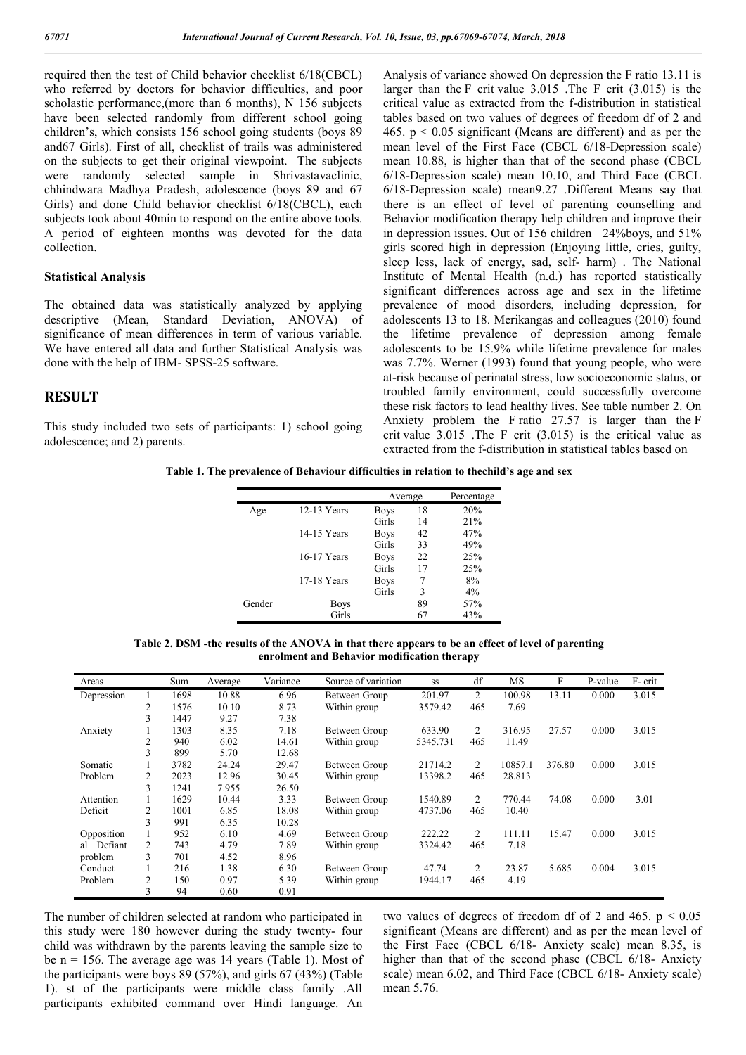required then the test of Child behavior checklist 6/18(CBCL) who referred by doctors for behavior difficulties, and poor scholastic performance,(more than 6 months), N 156 subjects have been selected randomly from different school going children's, which consists 156 school going students (boys 89 and67 Girls). First of all, checklist of trails was administered on the subjects to get their original viewpoint. The subjects were randomly selected sample in Shrivastavaclinic, chhindwara Madhya Pradesh, adolescence (boys 89 and 67 Girls) and done Child behavior checklist 6/18(CBCL), each subjects took about 40min to respond on the entire above tools. A period of eighteen months was devoted for the data collection.

#### **Statistical Analysis**

The obtained data was statistically analyzed by applying descriptive (Mean, Standard Deviation, ANOVA) of significance of mean differences in term of various variable. We have entered all data and further Statistical Analysis was done with the help of IBM- SPSS-25 software.

#### **RESULT**

This study included two sets of participants: 1) school going adolescence; and 2) parents.

Analysis of variance showed On depression the F ratio 13.11 is larger than the F crit value 3.015 .The F crit (3.015) is the critical value as extracted from the f-distribution in statistical tables based on two values of degrees of freedom df of 2 and 465.  $p \le 0.05$  significant (Means are different) and as per the mean level of the First Face (CBCL 6/18-Depression scale) mean 10.88, is higher than that of the second phase (CBCL 6/18-Depression scale) mean 10.10, and Third Face (CBCL 6/18-Depression scale) mean9.27 .Different Means say that there is an effect of level of parenting counselling and Behavior modification therapy help children and improve their in depression issues. Out of 156 children 24%boys, and 51% girls scored high in depression (Enjoying little, cries, guilty, sleep less, lack of energy, sad, self- harm) . The National Institute of Mental Health (n.d.) has reported statistically significant differences across age and sex in the lifetime prevalence of mood disorders, including depression, for adolescents 13 to 18. Merikangas and colleagues (2010) found the lifetime prevalence of depression among female adolescents to be 15.9% while lifetime prevalence for males was 7.7%. Werner (1993) found that young people, who were at-risk because of perinatal stress, low socioeconomic status, or troubled family environment, could successfully overcome these risk factors to lead healthy lives. See table number 2. On Anxiety problem the F ratio 27.57 is larger than the F crit value 3.015 .The F crit (3.015) is the critical value as extracted from the f-distribution in statistical tables based on

**Table 1. The prevalence of Behaviour difficulties in relation to thechild's age and sex**

|        |             |             | Average | Percentage |  |  |
|--------|-------------|-------------|---------|------------|--|--|
| Age    | 12-13 Years | <b>Boys</b> | 18      | 20%        |  |  |
|        |             | Girls       | 14      | 21%        |  |  |
|        | 14-15 Years | <b>Boys</b> | 42      | 47%        |  |  |
|        |             | Girls       | 33      | 49%        |  |  |
|        | 16-17 Years | <b>Boys</b> | 22      | 25%        |  |  |
|        |             | Girls       | 17      | 25%        |  |  |
|        | 17-18 Years | <b>Boys</b> |         | 8%         |  |  |
|        |             | Girls       | 3       | 4%         |  |  |
| Gender | <b>Boys</b> |             | 89      | 57%        |  |  |
|        | Girls       |             | 67      | 43%        |  |  |

**Table 2. DSM -the results of the ANOVA in that there appears to be an effect of level of parenting enrolment and Behavior modification therapy**

| Areas         |                | Sum  | Average | Variance | Source of variation | SS       | df             | MS      | F      | P-value | F- crit |
|---------------|----------------|------|---------|----------|---------------------|----------|----------------|---------|--------|---------|---------|
| Depression    |                | 1698 | 10.88   | 6.96     | Between Group       | 201.97   | 2              | 100.98  | 13.11  | 0.000   | 3.015   |
|               | $\overline{c}$ | 1576 | 10.10   | 8.73     | Within group        | 3579.42  | 465            | 7.69    |        |         |         |
|               | 3              | 1447 | 9.27    | 7.38     |                     |          |                |         |        |         |         |
| Anxiety       |                | 1303 | 8.35    | 7.18     | Between Group       | 633.90   | $\overline{2}$ | 316.95  | 27.57  | 0.000   | 3.015   |
|               | 2              | 940  | 6.02    | 14.61    | Within group        | 5345.731 | 465            | 11.49   |        |         |         |
|               | 3              | 899  | 5.70    | 12.68    |                     |          |                |         |        |         |         |
| Somatic       |                | 3782 | 24.24   | 29.47    | Between Group       | 21714.2  | 2              | 10857.1 | 376.80 | 0.000   | 3.015   |
| Problem       | 2              | 2023 | 12.96   | 30.45    | Within group        | 13398.2  | 465            | 28.813  |        |         |         |
|               | 3              | 1241 | 7.955   | 26.50    |                     |          |                |         |        |         |         |
| Attention     |                | 1629 | 10.44   | 3.33     | Between Group       | 1540.89  | $\overline{2}$ | 770.44  | 74.08  | 0.000   | 3.01    |
| Deficit       | $\overline{c}$ | 1001 | 6.85    | 18.08    | Within group        | 4737.06  | 465            | 10.40   |        |         |         |
|               | 3              | 991  | 6.35    | 10.28    |                     |          |                |         |        |         |         |
| Opposition    |                | 952  | 6.10    | 4.69     | Between Group       | 222.22   | $\overline{2}$ | 111.11  | 15.47  | 0.000   | 3.015   |
| Defiant<br>al | 2              | 743  | 4.79    | 7.89     | Within group        | 3324.42  | 465            | 7.18    |        |         |         |
| problem       | 3              | 701  | 4.52    | 8.96     |                     |          |                |         |        |         |         |
| Conduct       |                | 216  | 1.38    | 6.30     | Between Group       | 47.74    | 2              | 23.87   | 5.685  | 0.004   | 3.015   |
| Problem       | 2              | 150  | 0.97    | 5.39     | Within group        | 1944.17  | 465            | 4.19    |        |         |         |
|               | 3              | 94   | 0.60    | 0.91     |                     |          |                |         |        |         |         |

The number of children selected at random who participated in this study were 180 however during the study twenty- four child was withdrawn by the parents leaving the sample size to be  $n = 156$ . The average age was 14 years (Table 1). Most of the participants were boys 89 (57%), and girls 67 (43%) (Table 1). st of the participants were middle class family .All participants exhibited command over Hindi language. An

two values of degrees of freedom df of 2 and 465.  $p < 0.05$ significant (Means are different) and as per the mean level of the First Face (CBCL 6/18- Anxiety scale) mean 8.35, is higher than that of the second phase (CBCL 6/18- Anxiety scale) mean 6.02, and Third Face (CBCL 6/18- Anxiety scale) mean 5.76.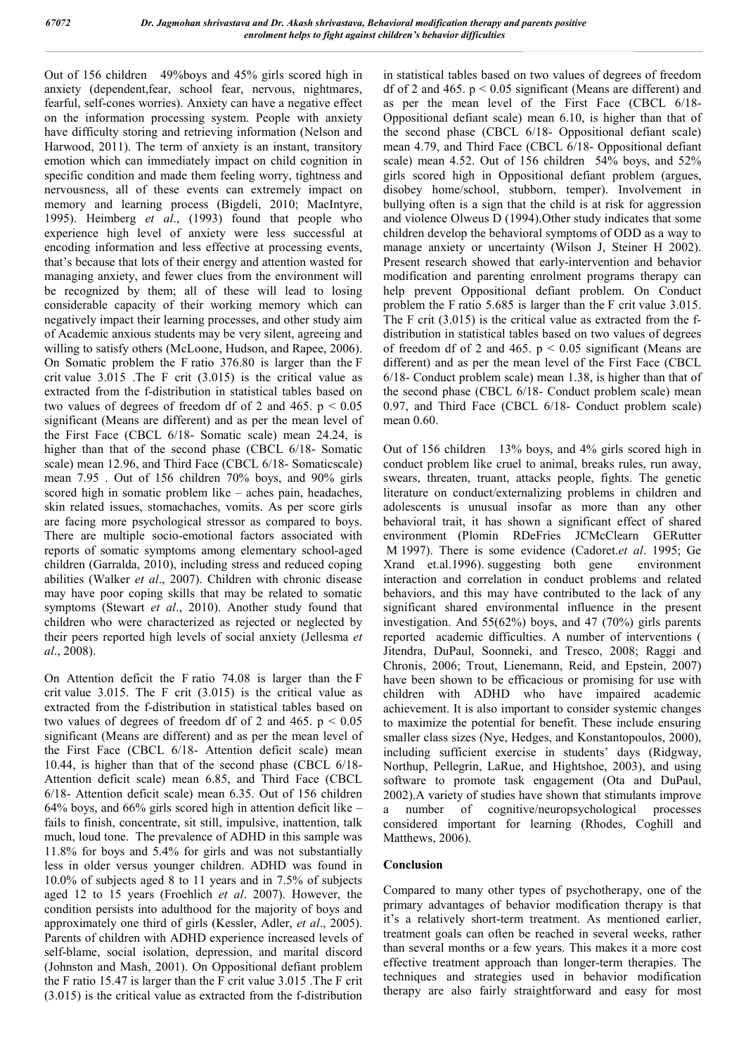Out of 156 children 49%boys and 45% girls scored high in anxiety (dependent,fear, school fear, nervous, nightmares, fearful, self-cones worries). Anxiety can have a negative effect on the information processing system. People with anxiety have difficulty storing and retrieving information (Nelson and Harwood, 2011). The term of anxiety is an instant, transitory emotion which can immediately impact on child cognition in specific condition and made them feeling worry, tightness and nervousness, all of these events can extremely impact on memory and learning process (Bigdeli, 2010; MacIntyre, 1995). Heimberg *et al*., (1993) found that people who experience high level of anxiety were less successful at encoding information and less effective at processing events, that's because that lots of their energy and attention wasted for managing anxiety, and fewer clues from the environment will be recognized by them; all of these will lead to losing considerable capacity of their working memory which can negatively impact their learning processes, and other study aim of Academic anxious students may be very silent, agreeing and willing to satisfy others (McLoone, Hudson, and Rapee, 2006). On Somatic problem the F ratio 376.80 is larger than the F crit value 3.015 .The F crit (3.015) is the critical value as extracted from the f-distribution in statistical tables based on two values of degrees of freedom df of 2 and 465.  $p < 0.05$ significant (Means are different) and as per the mean level of the First Face (CBCL 6/18- Somatic scale) mean 24.24, is higher than that of the second phase (CBCL 6/18- Somatic scale) mean 12.96, and Third Face (CBCL 6/18- Somaticscale) mean 7.95 . Out of 156 children 70% boys, and 90% girls scored high in somatic problem like – aches pain, headaches, skin related issues, stomachaches, vomits. As per score girls are facing more psychological stressor as compared to boys. There are multiple socio-emotional factors associated with reports of somatic symptoms among elementary school-aged children (Garralda, 2010), including stress and reduced coping abilities (Walker *et al*., 2007). Children with chronic disease may have poor coping skills that may be related to somatic symptoms (Stewart *et al*., 2010). Another study found that children who were characterized as rejected or neglected by their peers reported high levels of social anxiety (Jellesma *et al*., 2008).

On Attention deficit the F ratio 74.08 is larger than the F crit value 3.015. The F crit (3.015) is the critical value as extracted from the f-distribution in statistical tables based on two values of degrees of freedom df of 2 and 465.  $p < 0.05$ significant (Means are different) and as per the mean level of the First Face (CBCL 6/18- Attention deficit scale) mean 10.44, is higher than that of the second phase (CBCL 6/18- Attention deficit scale) mean 6.85, and Third Face (CBCL 6/18- Attention deficit scale) mean 6.35. Out of 156 children 64% boys, and 66% girls scored high in attention deficit like – fails to finish, concentrate, sit still, impulsive, inattention, talk much, loud tone. The prevalence of ADHD in this sample was 11.8% for boys and 5.4% for girls and was not substantially less in older versus younger children. ADHD was found in 10.0% of subjects aged 8 to 11 years and in 7.5% of subjects aged 12 to 15 years (Froehlich *et al*. 2007). However, the condition persists into adulthood for the majority of boys and approximately one third of girls (Kessler, Adler, *et al*., 2005). Parents of children with ADHD experience increased levels of self-blame, social isolation, depression, and marital discord (Johnston and Mash, 2001). On Oppositional defiant problem the F ratio 15.47 is larger than the F crit value 3.015 .The F crit (3.015) is the critical value as extracted from the f-distribution

in statistical tables based on two values of degrees of freedom df of 2 and 465.  $p < 0.05$  significant (Means are different) and as per the mean level of the First Face (CBCL 6/18- Oppositional defiant scale) mean 6.10, is higher than that of the second phase (CBCL 6/18- Oppositional defiant scale) mean 4.79, and Third Face (CBCL 6/18- Oppositional defiant scale) mean 4.52. Out of 156 children 54% boys, and 52% girls scored high in Oppositional defiant problem (argues, disobey home/school, stubborn, temper). Involvement in bullying often is a sign that the child is at risk for aggression and violence Olweus D (1994).Other study indicates that some children develop the behavioral symptoms of ODD as a way to manage anxiety or uncertainty (Wilson J, Steiner H 2002). Present research showed that early-intervention and behavior modification and parenting enrolment programs therapy can help prevent Oppositional defiant problem. On Conduct problem the F ratio 5.685 is larger than the F crit value 3.015. The F crit (3.015) is the critical value as extracted from the fdistribution in statistical tables based on two values of degrees of freedom df of 2 and 465.  $p < 0.05$  significant (Means are different) and as per the mean level of the First Face (CBCL 6/18- Conduct problem scale) mean 1.38, is higher than that of the second phase (CBCL 6/18- Conduct problem scale) mean 0.97, and Third Face (CBCL 6/18- Conduct problem scale) mean 0.60.

Out of 156 children 13% boys, and 4% girls scored high in conduct problem like cruel to animal, breaks rules, run away, swears, threaten, truant, attacks people, fights. The genetic literature on conduct/externalizing problems in children and adolescents is unusual insofar as more than any other behavioral trait, it has shown a significant effect of shared environment (Plomin RDeFries JCMcClearn GERutter M 1997). There is some evidence (Cadoret.*et al*. 1995; Ge Xrand et.al.1996). suggesting both gene environment interaction and correlation in conduct problems and related behaviors, and this may have contributed to the lack of any significant shared environmental influence in the present investigation. And 55(62%) boys, and 47 (70%) girls parents reported academic difficulties. A number of interventions ( Jitendra, DuPaul, Soonneki, and Tresco, 2008; Raggi and Chronis, 2006; Trout, Lienemann, Reid, and Epstein, 2007) have been shown to be efficacious or promising for use with children with ADHD who have impaired academic achievement. It is also important to consider systemic changes to maximize the potential for benefit. These include ensuring smaller class sizes (Nye, Hedges, and Konstantopoulos, 2000), including sufficient exercise in students' days (Ridgway, Northup, Pellegrin, LaRue, and Hightshoe, 2003), and using software to promote task engagement (Ota and DuPaul, 2002).A variety of studies have shown that stimulants improve a number of cognitive/neuropsychological processes considered important for learning (Rhodes, Coghill and Matthews, 2006).

## **Conclusion**

Compared to many other types of psychotherapy, one of the primary advantages of behavior modification therapy is that it's a relatively short-term treatment. As mentioned earlier, treatment goals can often be reached in several weeks, rather than several months or a few years. This makes it a more cost effective treatment approach than longer-term therapies. The techniques and strategies used in behavior modification therapy are also fairly straightforward and easy for most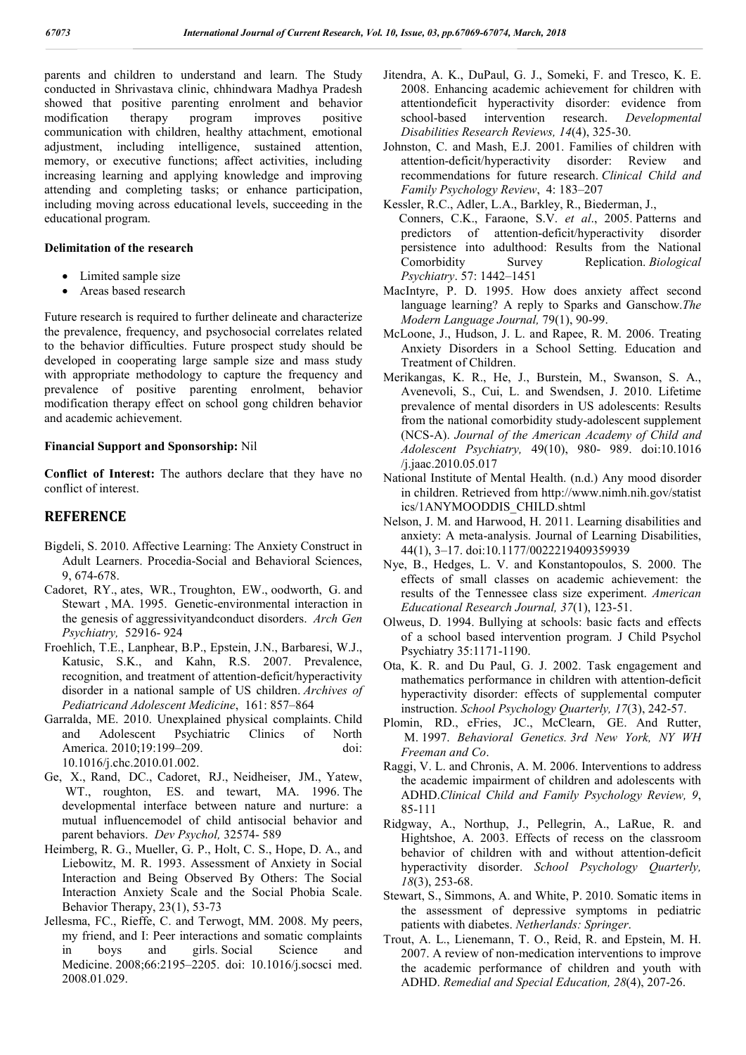parents and children to understand and learn. The Study conducted in Shrivastava clinic, chhindwara Madhya Pradesh showed that positive parenting enrolment and behavior modification therapy program improves positive communication with children, healthy attachment, emotional adjustment, including intelligence, sustained attention, memory, or executive functions; affect activities, including increasing learning and applying knowledge and improving attending and completing tasks; or enhance participation, including moving across educational levels, succeeding in the educational program.

#### **Delimitation of the research**

- Limited sample size
- Areas based research

Future research is required to further delineate and characterize the prevalence, frequency, and psychosocial correlates related to the behavior difficulties. Future prospect study should be developed in cooperating large sample size and mass study with appropriate methodology to capture the frequency and prevalence of positive parenting enrolment, behavior modification therapy effect on school gong children behavior and academic achievement.

#### **Financial Support and Sponsorship:** Nil

**Conflict of Interest:** The authors declare that they have no conflict of interest.

## **REFERENCE**

- Bigdeli, S. 2010. Affective Learning: The Anxiety Construct in Adult Learners. Procedia-Social and Behavioral Sciences, 9, 674-678.
- Cadoret, RY., ates, WR., Troughton, EW., oodworth, G. and Stewart , MA. 1995. Genetic-environmental interaction in the genesis of aggressivityandconduct disorders. *Arch Gen Psychiatry,* 52916- 924
- Froehlich, T.E., Lanphear, B.P., Epstein, J.N., Barbaresi, W.J., Katusic, S.K., and Kahn, R.S. 2007. Prevalence, recognition, and treatment of attention-deficit/hyperactivity disorder in a national sample of US children. *Archives of Pediatricand Adolescent Medicine*, 161: 857–864
- Garralda, ME. 2010. Unexplained physical complaints. Child and Adolescent Psychiatric Clinics of North America. 2010;19:199–209. doi: 10.1016/j.chc.2010.01.002.
- Ge, X., Rand, DC., Cadoret, RJ., Neidheiser, JM., Yatew, WT., roughton, ES. and tewart, MA. 1996. The developmental interface between nature and nurture: a mutual influencemodel of child antisocial behavior and parent behaviors. *Dev Psychol,* 32574- 589
- Heimberg, R. G., Mueller, G. P., Holt, C. S., Hope, D. A., and Liebowitz, M. R. 1993. Assessment of Anxiety in Social Interaction and Being Observed By Others: The Social Interaction Anxiety Scale and the Social Phobia Scale. Behavior Therapy, 23(1), 53-73
- Jellesma, FC., Rieffe, C. and Terwogt, MM. 2008. My peers, my friend, and I: Peer interactions and somatic complaints in boys and girls. Social Science and Medicine. 2008;66:2195–2205. doi: 10.1016/j.socsci med. 2008.01.029.
- Jitendra, A. K., DuPaul, G. J., Someki, F. and Tresco, K. E. 2008. Enhancing academic achievement for children with attentiondeficit hyperactivity disorder: evidence from school-based intervention research. *Developmental Disabilities Research Reviews, 14*(4), 325-30.
- Johnston, C. and Mash, E.J. 2001. Families of children with attention-deficit/hyperactivity disorder: Review and recommendations for future research. *Clinical Child and Family Psychology Review*, 4: 183–207
- Kessler, R.C., Adler, L.A., Barkley, R., Biederman, J., Conners, C.K., Faraone, S.V. *et al*., 2005. Patterns and predictors of attention-deficit/hyperactivity disorder persistence into adulthood: Results from the National Comorbidity Survey Replication. *Biological Psychiatry*. 57: 1442–1451
- MacIntyre, P. D. 1995. How does anxiety affect second language learning? A reply to Sparks and Ganschow.*The Modern Language Journal,* 79(1), 90-99.
- McLoone, J., Hudson, J. L. and Rapee, R. M. 2006. Treating Anxiety Disorders in a School Setting. Education and Treatment of Children.
- Merikangas, K. R., He, J., Burstein, M., Swanson, S. A., Avenevoli, S., Cui, L. and Swendsen, J. 2010. Lifetime prevalence of mental disorders in US adolescents: Results from the national comorbidity study-adolescent supplement (NCS-A). *Journal of the American Academy of Child and Adolescent Psychiatry,* 49(10), 980- 989. doi:10.1016 /j.jaac.2010.05.017
- National Institute of Mental Health. (n.d.) Any mood disorder in children. Retrieved from http://www.nimh.nih.gov/statist ics/1ANYMOODDIS\_CHILD.shtml
- Nelson, J. M. and Harwood, H. 2011. Learning disabilities and anxiety: A meta-analysis. Journal of Learning Disabilities, 44(1), 3–17. doi:10.1177/0022219409359939
- Nye, B., Hedges, L. V. and Konstantopoulos, S. 2000. The effects of small classes on academic achievement: the results of the Tennessee class size experiment. *American Educational Research Journal, 37*(1), 123-51.
- Olweus, D. 1994. Bullying at schools: basic facts and effects of a school based intervention program. J Child Psychol Psychiatry 35:1171-1190.
- Ota, K. R. and Du Paul, G. J. 2002. Task engagement and mathematics performance in children with attention-deficit hyperactivity disorder: effects of supplemental computer instruction. *School Psychology Quarterly, 17*(3), 242-57.
- Plomin, RD., eFries, JC., McClearn, GE. And Rutter, M. 1997. *Behavioral Genetics. 3rd New York, NY WH Freeman and Co*.
- Raggi, V. L. and Chronis, A. M. 2006. Interventions to address the academic impairment of children and adolescents with ADHD.*Clinical Child and Family Psychology Review, 9*, 85-111
- Ridgway, A., Northup, J., Pellegrin, A., LaRue, R. and Hightshoe, A. 2003. Effects of recess on the classroom behavior of children with and without attention-deficit hyperactivity disorder. *School Psychology Quarterly, 18*(3), 253-68.
- Stewart, S., Simmons, A. and White, P. 2010. Somatic items in the assessment of depressive symptoms in pediatric patients with diabetes. *Netherlands: Springer*.
- Trout, A. L., Lienemann, T. O., Reid, R. and Epstein, M. H. 2007. A review of non-medication interventions to improve the academic performance of children and youth with ADHD. *Remedial and Special Education, 28*(4), 207-26.